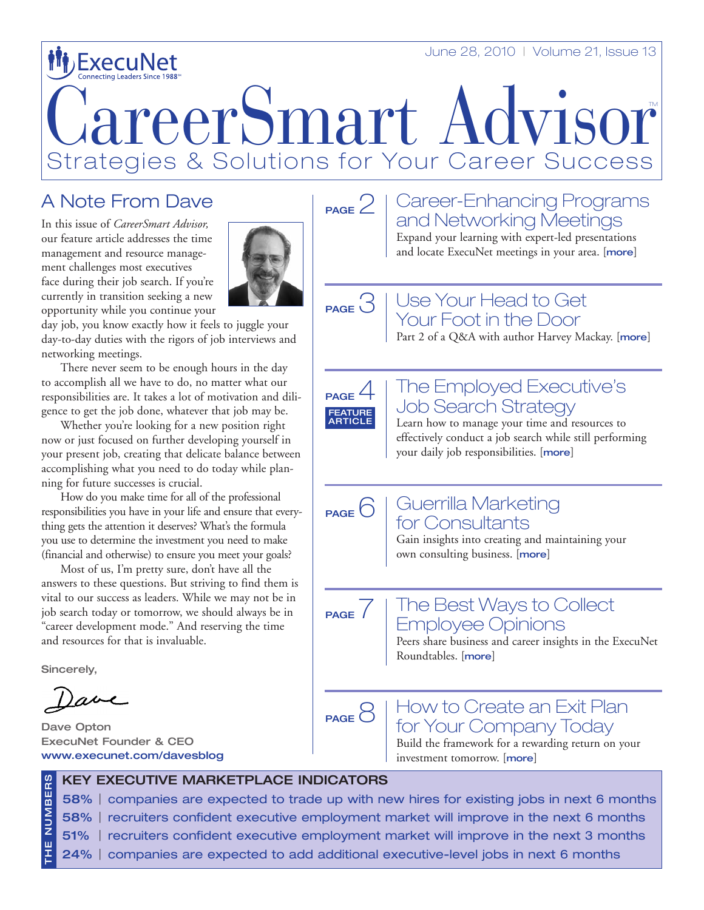### June 28, 2010 | Volume 21, Issue 13

[Career-Enhancing](#page-1-0) Programs

[CareerSmart](http://members.execunet.com/e_resources_advisor.cfm?preurl=e_home&ran_id=AF3BF5A7-9267-3597-72682F921A91BA4B&WT.svl=mn) Advisor Strategies & Solutions for Your Career Success

## A Note From Dave

**EXECUNET** 

In this issue of *CareerSmart Advisor,* our feature article addresses the time management and resource management challenges most executives face during their job search. If you're currently in transition seeking a new opportunity while you continue your

day job, you know exactly how it feels to juggle your day-to-day duties with the rigors of job interviews and networking meetings.

There never seem to be enough hours in the day to accomplish all we have to do, no matter what our responsibilities are. It takes a lot of motivation and diligence to get the job done, whatever that job may be.

Whether you're looking for a new position right now or just focused on further developing yourself in your present job, creating that delicate balance between accomplishing what you need to do today while planning for future successes is crucial.

How do you make time for all of the professional responsibilities you have in your life and ensure that everything gets the attention it deserves? What's the formula you use to determine the investment you need to make (financial and otherwise) to ensure you meet your goals?

Most of us, I'm pretty sure, don't have all the answers to these questions. But striving to find them is vital to our success as leaders. While we may not be in job search today or tomorrow, we should always be in "career development mode." And reserving the time and resources for that is invaluable.

**Sincerely,**

 $\mathsf{H}$ **HE**

**NUMBE**

 $\frac{\infty}{\infty}$ 

**Dave Opton ExecuNet Founder & CEO [www.execunet.com/davesblog](http://www.execunet.com/davesblog)**



**PAGE** 2



### **KEY EXECUTIVE MARKETPLACE INDICATORS**

**58%** | companies are expected to trade up with new hires for existing jobs in next 6 months **58%** | recruiters confident executive employment market will improve in the next 6 months **51%** | recruiters confident executive employment market will improve in the next 3 months **24%** | companies are expected to add additional executive-level jobs in next 6 months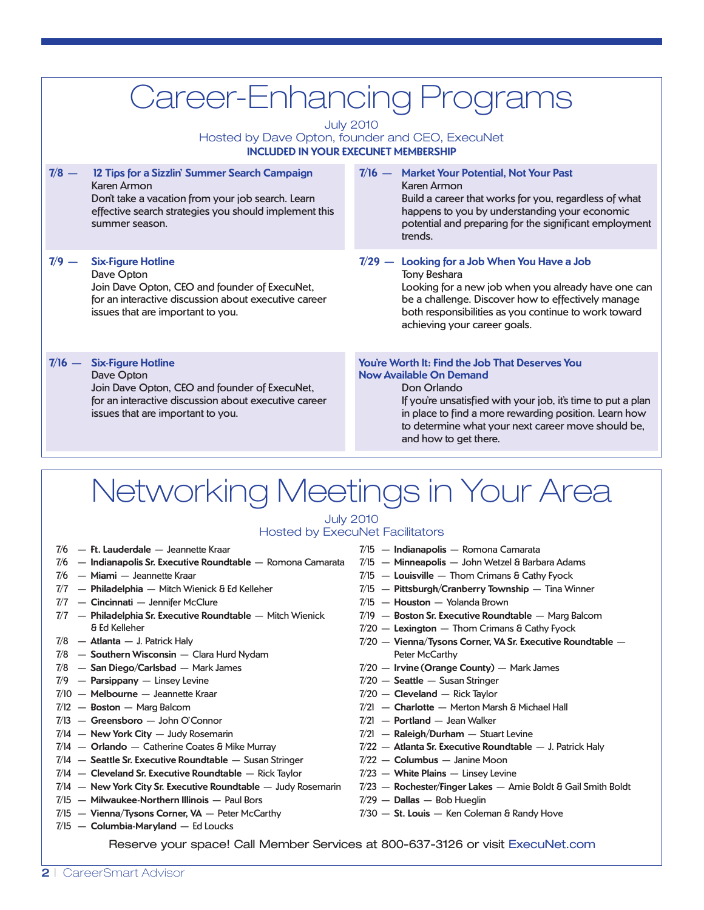<span id="page-1-0"></span>

| <b>Career-Enhancing Programs</b><br><b>July 2010</b><br>Hosted by Dave Opton, founder and CEO, ExecuNet<br><b>INCLUDED IN YOUR EXECUNET MEMBERSHIP</b> |                                                                                                                                                                                                     |                                                                                                                                                                                                                                                                                                                 |  |
|--------------------------------------------------------------------------------------------------------------------------------------------------------|-----------------------------------------------------------------------------------------------------------------------------------------------------------------------------------------------------|-----------------------------------------------------------------------------------------------------------------------------------------------------------------------------------------------------------------------------------------------------------------------------------------------------------------|--|
| $7/8 -$                                                                                                                                                | 12 Tips for a Sizzlin' Summer Search Campaign<br><b>Karen Armon</b><br>Don't take a vacation from your job search. Learn<br>effective search strategies you should implement this<br>summer season. | <b>Market Your Potential, Not Your Past</b><br>$7/16 -$<br><b>Karen Armon</b><br>Build a career that works for you, regardless of what<br>happens to you by understanding your economic<br>potential and preparing for the significant employment<br>trends.                                                    |  |
| $7/9 -$                                                                                                                                                | <b>Six-Figure Hotline</b><br>Dave Opton<br>Join Dave Opton, CEO and founder of ExecuNet,<br>for an interactive discussion about executive career<br>issues that are important to you.               | $7/29 -$<br>Looking for a Job When You Have a Job<br><b>Tony Beshara</b><br>Looking for a new job when you already have one can<br>be a challenge. Discover how to effectively manage<br>both responsibilities as you continue to work toward<br>achieving your career goals.                                   |  |
| $7/16 -$                                                                                                                                               | <b>Six-Figure Hotline</b><br>Dave Opton<br>Join Dave Opton, CEO and founder of ExecuNet,<br>for an interactive discussion about executive career<br>issues that are important to you.               | <b>You're Worth It: Find the Job That Deserves You</b><br><b>Now Available On Demand</b><br>Don Orlando<br>If you're unsatisfied with your job, it's time to put a plan<br>in place to find a more rewarding position. Learn how<br>to determine what your next career move should be,<br>and how to get there. |  |

# [Networking](http://members.execunet.com/e_network_results.cfm?area=region&mtdate=90&mttype=8,7,1,4,3,2&mtregarea=0) Meetings in Your Area

#### July 2010 Hosted by ExecuNet Facilitators

- 7/6 **Ft. Lauderdale** Jeannette Kraar
- 7/6 **Indianapolis Sr. Executive Roundtable** Romona Camarata
- 7/6 **Miami** Jeannette Kraar
- 7/7 **Philadelphia** Mitch Wienick & Ed Kelleher
- 7/7 **Cincinnati** Jennifer McClure
- 7/7 **Philadelphia Sr. Executive Roundtable** Mitch Wienick & Ed Kelleher
- 7/8 **Atlanta** J. Patrick Haly
- 7/8 **Southern Wisconsin** Clara Hurd Nydam
- 7/8 **San Diego/Carlsbad** Mark James
- 7/9 **Parsippany** Linsey Levine
- 7/10 **Melbourne** Jeannette Kraar
- 7/12 **Boston** Marg Balcom
- 7/13 **Greensboro** John O'Connor
- 7/14 **New York City** Judy Rosemarin
- 7/14 **Orlando** Catherine Coates & Mike Murray
- 7/14 **Seattle Sr. Executive Roundtable** Susan Stringer
- 7/14 **Cleveland Sr. Executive Roundtable** Rick Taylor
- 7/14 **New York City Sr. Executive Roundtable** Judy Rosemarin
- 7/15 **Milwaukee-Northern Illinois** Paul Bors
- 7/15 **Vienna/Tysons Corner, VA** Peter McCarthy
- 7/15 **Columbia-Maryland** Ed Loucks
- 7/15 **Indianapolis** Romona Camarata
- 7/15 **Minneapolis** John Wetzel & Barbara Adams
- 7/15 **Louisville** Thom Crimans & Cathy Fyock
- 7/15 **Pittsburgh/Cranberry Township** Tina Winner
- 7/15 **Houston** Yolanda Brown
- 7/19 **Boston Sr. Executive Roundtable** Marg Balcom
- 7/20 **Lexington** Thom Crimans & Cathy Fyock
- 7/20 **Vienna/Tysons Corner, VA Sr. Executive Roundtable** Peter McCarthy
- 7/20 **Irvine (Orange County)** Mark James
- 7/20 **Seattle** Susan Stringer
- 7/20 **Cleveland** Rick Taylor
- 7/21 **Charlotte** Merton Marsh & Michael Hall
- 7/21 **Portland** Jean Walker
- 7/21 **Raleigh/Durham** Stuart Levine
- 7/22 **Atlanta Sr. Executive Roundtable** J. Patrick Haly
- 7/22 **Columbus** Janine Moon
- 7/23 **White Plains** Linsey Levine
- 7/23 **Rochester/Finger Lakes** Arnie Boldt & Gail Smith Boldt
- 7/29 **Dallas** Bob Hueglin
- 7/30 **St. Louis** Ken Coleman & Randy Hove

Reserve your space! Call Member Services at 800-637-3126 or visit [ExecuNet.com](http://www.ExecuNet.com)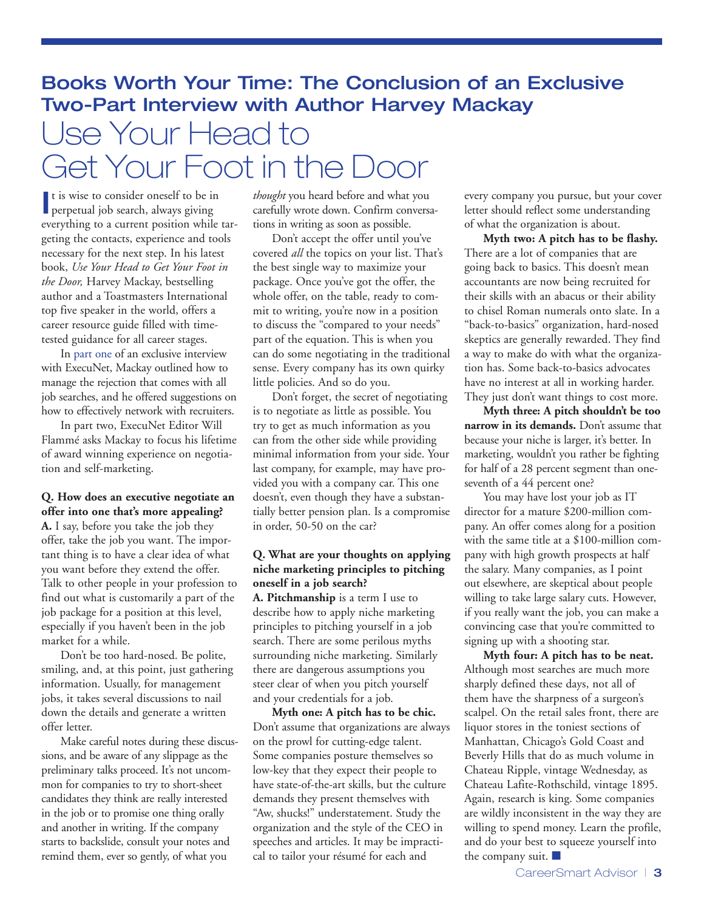## <span id="page-2-0"></span>**Books Worth Your Time: The Conclusion of an Exclusive Two-Part Interview with Author Harvey Mackay** Use Your Head to Get Your Foot in the Door

I t is wise to consider oneself to be i<br>
perpetual job search, always giving t is wise to consider oneself to be in everything to a current position while targeting the contacts, experience and tools necessary for the next step. In his latest book, *Use Your Head to Get Your Foot in the Door,* Harvey Mackay, bestselling author and a Toastmasters International top five speaker in the world, offers a career resource guide filled with timetested guidance for all career stages.

In [part](http://members.execunet.com/promo/pdf/csadvisor_061410.pdf) one of an exclusive interview with ExecuNet, Mackay outlined how to manage the rejection that comes with all job searches, and he offered suggestions on how to effectively network with recruiters.

In part two, ExecuNet Editor Will Flammé asks Mackay to focus his lifetime of award winning experience on negotiation and self-marketing.

#### **Q. How does an executive negotiate an offer into one that's more appealing?**

**A.** I say, before you take the job they offer, take the job you want. The important thing is to have a clear idea of what you want before they extend the offer. Talk to other people in your profession to find out what is customarily a part of the job package for a position at this level, especially if you haven't been in the job market for a while.

Don't be too hard-nosed. Be polite, smiling, and, at this point, just gathering information. Usually, for management jobs, it takes several discussions to nail down the details and generate a written offer letter.

Make careful notes during these discussions, and be aware of any slippage as the preliminary talks proceed. It's not uncommon for companies to try to short-sheet candidates they think are really interested in the job or to promise one thing orally and another in writing. If the company starts to backslide, consult your notes and remind them, ever so gently, of what you

*thought* you heard before and what you carefully wrote down. Confirm conversations in writing as soon as possible.

Don't accept the offer until you've covered *all* the topics on your list. That's the best single way to maximize your package. Once you've got the offer, the whole offer, on the table, ready to commit to writing, you're now in a position to discuss the "compared to your needs" part of the equation. This is when you can do some negotiating in the traditional sense. Every company has its own quirky little policies. And so do you.

Don't forget, the secret of negotiating is to negotiate as little as possible. You try to get as much information as you can from the other side while providing minimal information from your side. Your last company, for example, may have provided you with a company car. This one doesn't, even though they have a substantially better pension plan. Is a compromise in order, 50-50 on the car?

#### **Q. What are your thoughts on applying niche marketing principles to pitching oneself in a job search?**

**A. Pitchmanship** is a term I use to describe how to apply niche marketing principles to pitching yourself in a job search. There are some perilous myths surrounding niche marketing. Similarly there are dangerous assumptions you steer clear of when you pitch yourself and your credentials for a job.

**Myth one: A pitch has to be chic.** Don't assume that organizations are always on the prowl for cutting-edge talent. Some companies posture themselves so low-key that they expect their people to have state-of-the-art skills, but the culture demands they present themselves with "Aw, shucks!" understatement. Study the organization and the style of the CEO in speeches and articles. It may be impractical to tailor your résumé for each and

every company you pursue, but your cover letter should reflect some understanding of what the organization is about.

**Myth two: A pitch has to be flashy.** There are a lot of companies that are going back to basics. This doesn't mean accountants are now being recruited for their skills with an abacus or their ability to chisel Roman numerals onto slate. In a "back-to-basics" organization, hard-nosed skeptics are generally rewarded. They find a way to make do with what the organization has. Some back-to-basics advocates have no interest at all in working harder. They just don't want things to cost more.

**Myth three: A pitch shouldn't be too narrow in its demands.** Don't assume that because your niche is larger, it's better. In marketing, wouldn't you rather be fighting for half of a 28 percent segment than oneseventh of a 44 percent one?

You may have lost your job as IT director for a mature \$200-million company. An offer comes along for a position with the same title at a \$100-million company with high growth prospects at half the salary. Many companies, as I point out elsewhere, are skeptical about people willing to take large salary cuts. However, if you really want the job, you can make a convincing case that you're committed to signing up with a shooting star.

**Myth four: A pitch has to be neat.** Although most searches are much more sharply defined these days, not all of them have the sharpness of a surgeon's scalpel. On the retail sales front, there are liquor stores in the toniest sections of Manhattan, Chicago's Gold Coast and Beverly Hills that do as much volume in Chateau Ripple, vintage Wednesday, as Chateau Lafite-Rothschild, vintage 1895. Again, research is king. Some companies are wildly inconsistent in the way they are willing to spend money. Learn the profile, and do your best to squeeze yourself into the company suit.  $\blacksquare$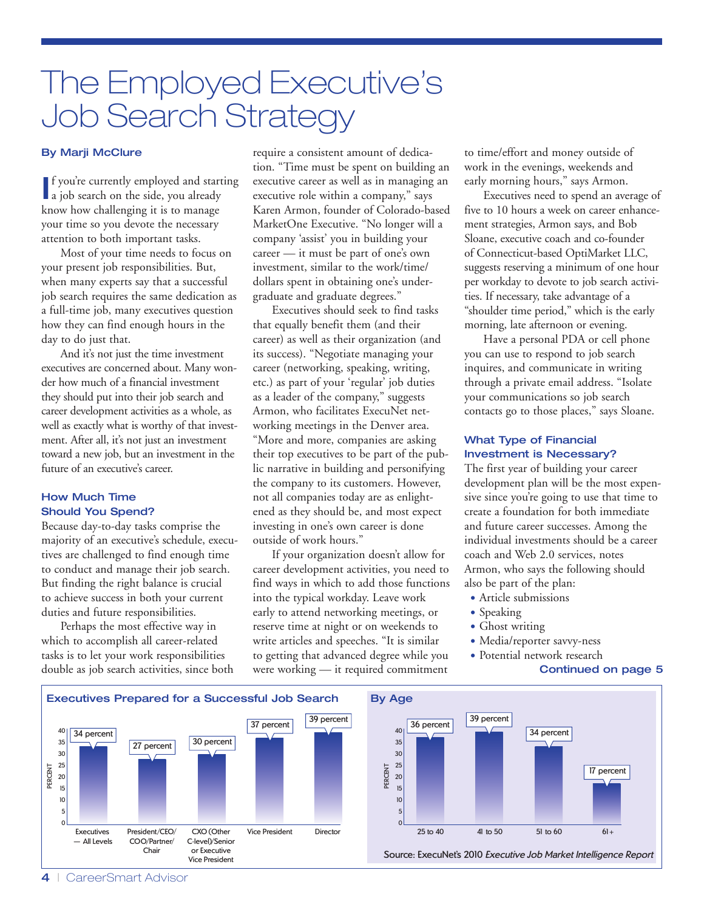# <span id="page-3-0"></span>The Employed Executive's Job Search Strategy

#### **By Marji McClure**

**I** f you're currently employed and star<br> **a** job search on the side, you already f you're currently employed and starting know how challenging it is to manage your time so you devote the necessary attention to both important tasks.

Most of your time needs to focus on your present job responsibilities. But, when many experts say that a successful job search requires the same dedication as a full-time job, many executives question how they can find enough hours in the day to do just that.

And it's not just the time investment executives are concerned about. Many wonder how much of a financial investment they should put into their job search and career development activities as a whole, as well as exactly what is worthy of that investment. After all, it's not just an investment toward a new job, but an investment in the future of an executive's career.

#### **How Much Time Should You Spend?**

Because day-to-day tasks comprise the majority of an executive's schedule, executives are challenged to find enough time to conduct and manage their job search. But finding the right balance is crucial to achieve success in both your current duties and future responsibilities.

Perhaps the most effective way in which to accomplish all career-related tasks is to let your work responsibilities double as job search activities, since both require a consistent amount of dedication. "Time must be spent on building an executive career as well as in managing an executive role within a company," says Karen Armon, founder of Colorado-based MarketOne Executive. "No longer will a company 'assist' you in building your career — it must be part of one's own investment, similar to the work/time/ dollars spent in obtaining one's undergraduate and graduate degrees."

Executives should seek to find tasks that equally benefit them (and their career) as well as their organization (and its success). "Negotiate managing your career (networking, speaking, writing, etc.) as part of your 'regular' job duties as a leader of the company," suggests Armon, who facilitates ExecuNet networking meetings in the Denver area. "More and more, companies are asking their top executives to be part of the public narrative in building and personifying the company to its customers. However, not all companies today are as enlightened as they should be, and most expect investing in one's own career is done outside of work hours."

If your organization doesn't allow for career development activities, you need to find ways in which to add those functions into the typical workday. Leave work early to attend networking meetings, or reserve time at night or on weekends to write articles and speeches. "It is similar to getting that advanced degree while you were working — it required commitment

to time/effort and money outside of work in the evenings, weekends and early morning hours," says Armon.

Executives need to spend an average of five to 10 hours a week on career enhancement strategies, Armon says, and Bob Sloane, executive coach and co-founder of Connecticut-based OptiMarket LLC, suggests reserving a minimum of one hour per workday to devote to job search activities. If necessary, take advantage of a "shoulder time period," which is the early morning, late afternoon or evening.

Have a personal PDA or cell phone you can use to respond to job search inquires, and communicate in writing through a private email address. "Isolate your communications so job search contacts go to those places," says Sloane.

#### **What Type of Financial Investment is Necessary?**

The first year of building your career development plan will be the most expensive since you're going to use that time to create a foundation for both immediate and future career successes. Among the individual investments should be a career coach and Web 2.0 services, notes Armon, who says the following should also be part of the plan:

- Article submissions
- Speaking
- Ghost writing
- Media/reporter savvy-ness
- Potential network research

**Continued on page 5**

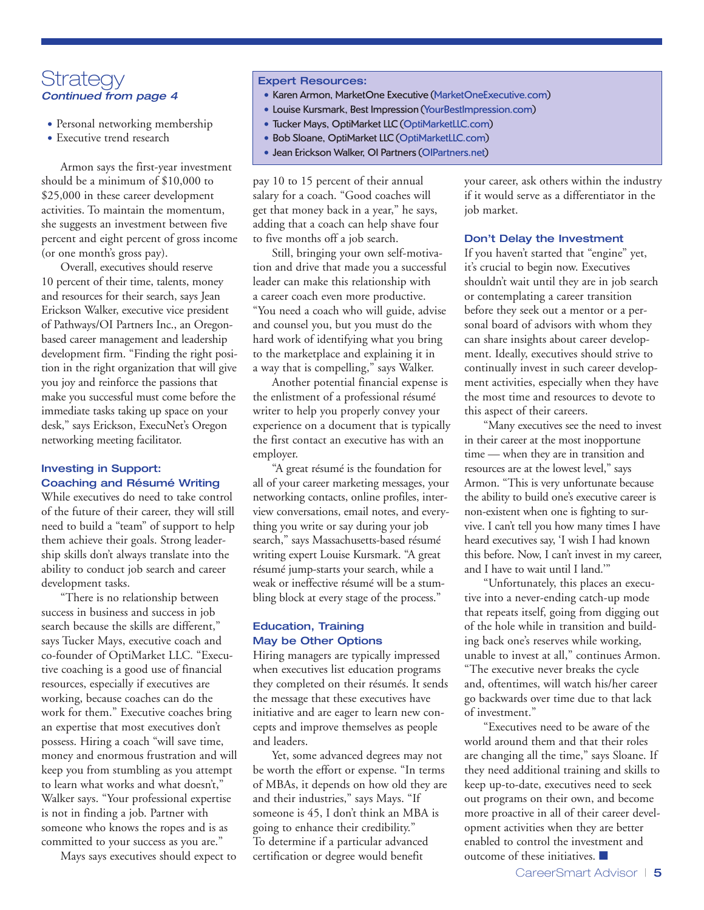#### Strategy *Continued from page 4*

- Personal networking membership
- Executive trend research

Armon says the first-year investment should be a minimum of \$10,000 to \$25,000 in these career development activities. To maintain the momentum, she suggests an investment between five percent and eight percent of gross income (or one month's gross pay).

Overall, executives should reserve 10 percent of their time, talents, money and resources for their search, says Jean Erickson Walker, executive vice president of Pathways/OI Partners Inc., an Oregonbased career management and leadership development firm. "Finding the right position in the right organization that will give you joy and reinforce the passions that make you successful must come before the immediate tasks taking up space on your desk," says Erickson, ExecuNet's Oregon networking meeting facilitator.

#### **Investing in Support: Coaching and Résumé Writing**

While executives do need to take control of the future of their career, they will still need to build a "team" of support to help them achieve their goals. Strong leadership skills don't always translate into the ability to conduct job search and career development tasks.

"There is no relationship between success in business and success in job search because the skills are different," says Tucker Mays, executive coach and co-founder of OptiMarket LLC. "Executive coaching is a good use of financial resources, especially if executives are working, because coaches can do the work for them." Executive coaches bring an expertise that most executives don't possess. Hiring a coach "will save time, money and enormous frustration and will keep you from stumbling as you attempt to learn what works and what doesn't," Walker says. "Your professional expertise is not in finding a job. Partner with someone who knows the ropes and is as committed to your success as you are."

Mays says executives should expect to

#### **Expert Resources:**

- Karen Armon, MarketOne Executive [\(MarketOneExecutive.com\)](http://www.MarketOneExecutive.com)
- Louise Kursmark, Best Impression [\(YourBestImpression.com\)](http://www.YourBestImpression.com)
- Tucker Mays, OptiMarket LLC [\(OptiMarketLLC.com\)](http://www.OptiMarketLLC.com)
- Bob Sloane, OptiMarket LLC [\(OptiMarketLLC.com\)](http://www.OptiMarketLLC.com)
- Jean Erickson Walker, OI Partners [\(OIPartners.net\)](http://www.OIPartners.net)

pay 10 to 15 percent of their annual salary for a coach. "Good coaches will get that money back in a year," he says, adding that a coach can help shave four to five months off a job search.

Still, bringing your own self-motivation and drive that made you a successful leader can make this relationship with a career coach even more productive. "You need a coach who will guide, advise and counsel you, but you must do the hard work of identifying what you bring to the marketplace and explaining it in a way that is compelling," says Walker.

Another potential financial expense is the enlistment of a professional résumé writer to help you properly convey your experience on a document that is typically the first contact an executive has with an employer.

"A great résumé is the foundation for all of your career marketing messages, your networking contacts, online profiles, interview conversations, email notes, and everything you write or say during your job search," says Massachusetts-based résumé writing expert Louise Kursmark. "A great résumé jump-starts your search, while a weak or ineffective résumé will be a stumbling block at every stage of the process."

#### **Education, Training May be Other Options**

Hiring managers are typically impressed when executives list education programs they completed on their résumés. It sends the message that these executives have initiative and are eager to learn new concepts and improve themselves as people and leaders.

Yet, some advanced degrees may not be worth the effort or expense. "In terms of MBAs, it depends on how old they are and their industries," says Mays. "If someone is 45, I don't think an MBA is going to enhance their credibility." To determine if a particular advanced certification or degree would benefit

your career, ask others within the industry if it would serve as a differentiator in the job market.

#### **Don't Delay the Investment**

If you haven't started that "engine" yet, it's crucial to begin now. Executives shouldn't wait until they are in job search or contemplating a career transition before they seek out a mentor or a personal board of advisors with whom they can share insights about career development. Ideally, executives should strive to continually invest in such career development activities, especially when they have the most time and resources to devote to this aspect of their careers.

"Many executives see the need to invest in their career at the most inopportune time — when they are in transition and resources are at the lowest level," says Armon. "This is very unfortunate because the ability to build one's executive career is non-existent when one is fighting to survive. I can't tell you how many times I have heard executives say, 'I wish I had known this before. Now, I can't invest in my career, and I have to wait until I land.'"

"Unfortunately, this places an executive into a never-ending catch-up mode that repeats itself, going from digging out of the hole while in transition and building back one's reserves while working, unable to invest at all," continues Armon. "The executive never breaks the cycle and, oftentimes, will watch his/her career go backwards over time due to that lack of investment."

"Executives need to be aware of the world around them and that their roles are changing all the time," says Sloane. If they need additional training and skills to keep up-to-date, executives need to seek out programs on their own, and become more proactive in all of their career development activities when they are better enabled to control the investment and outcome of these initiatives. ■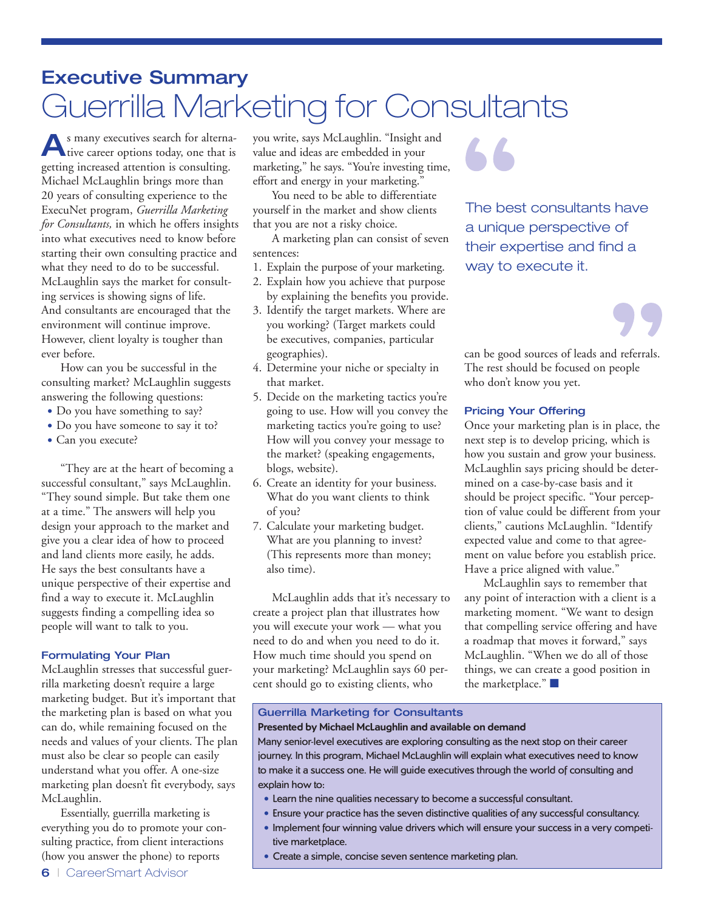## <span id="page-5-0"></span>**Executive Summary** Guerrilla Marketing for Consultants

**A**<sup>s</sup> many executives search for alternative career options today, one that is getting increased attention is consulting. Michael McLaughlin brings more than 20 years of consulting experience to the ExecuNet program, *Guerrilla Marketing for Consultants,* in which he offers insights into what executives need to know before starting their own consulting practice and what they need to do to be successful. McLaughlin says the market for consulting services is showing signs of life. And consultants are encouraged that the environment will continue improve. However, client loyalty is tougher than ever before.

How can you be successful in the consulting market? McLaughlin suggests answering the following questions:

- Do you have something to say?
- Do you have someone to say it to?
- Can you execute?

"They are at the heart of becoming a successful consultant," says McLaughlin. "They sound simple. But take them one at a time." The answers will help you design your approach to the market and give you a clear idea of how to proceed and land clients more easily, he adds. He says the best consultants have a unique perspective of their expertise and find a way to execute it. McLaughlin suggests finding a compelling idea so people will want to talk to you.

#### **Formulating Your Plan**

McLaughlin stresses that successful guerrilla marketing doesn't require a large marketing budget. But it's important that the marketing plan is based on what you can do, while remaining focused on the needs and values of your clients. The plan must also be clear so people can easily understand what you offer. A one-size marketing plan doesn't fit everybody, says McLaughlin.

Essentially, guerrilla marketing is everything you do to promote your consulting practice, from client interactions (how you answer the phone) to reports

you write, says McLaughlin. "Insight and value and ideas are embedded in your marketing," he says. "You're investing time, effort and energy in your marketing."

You need to be able to differentiate yourself in the market and show clients that you are not a risky choice.

A marketing plan can consist of seven sentences:

- 1. Explain the purpose of your marketing.
- 2. Explain how you achieve that purpose by explaining the benefits you provide.
- 3. Identify the target markets. Where are you working? (Target markets could be executives, companies, particular geographies).
- 4. Determine your niche or specialty in that market.
- 5. Decide on the marketing tactics you're going to use. How will you convey the marketing tactics you're going to use? How will you convey your message to the market? (speaking engagements, blogs, website).
- 6. Create an identity for your business. What do you want clients to think of you?
- 7. Calculate your marketing budget. What are you planning to invest? (This represents more than money; also time).

McLaughlin adds that it's necessary to create a project plan that illustrates how you will execute your work — what you need to do and when you need to do it. How much time should you spend on your marketing? McLaughlin says 60 percent should go to existing clients, who

The best consultants have a unique perspective of their expertise and find a way to execute it.

can be good sources of leads and referrals. The rest should be focused on people who don't know you yet.

#### **Pricing Your Offering**

Once your marketing plan is in place, the next step is to develop pricing, which is how you sustain and grow your business. McLaughlin says pricing should be determined on a case-by-case basis and it should be project specific. "Your perception of value could be different from your clients," cautions McLaughlin. "Identify expected value and come to that agreement on value before you establish price. Have a price aligned with value."

McLaughlin says to remember that any point of interaction with a client is a marketing moment. "We want to design that compelling service offering and have a roadmap that moves it forward," says McLaughlin. "When we do all of those things, we can create a good position in the marketplace." ■

#### **Guerrilla Marketing for [Consultants](http://members.execunet.com/e_resources_purchase.cfm?prod=FTGMCMCLAU&ctext=guerrilla%20marketing%20consultant) Presented by Michael McLaughlin and available on demand**

Many senior-level executives are exploring consulting as the next stop on their career journey. In this program, Michael McLaughlin will explain what executives need to know to make it a success one. He will guide executives through the world of consulting and explain how to:

- Learn the nine qualities necessary to become a successful consultant.
- Ensure your practice has the seven distinctive qualities of any successful consultancy.
- Implement four winning value drivers which will ensure your success in a very competitive marketplace.
- Create a simple, concise seven sentence marketing plan.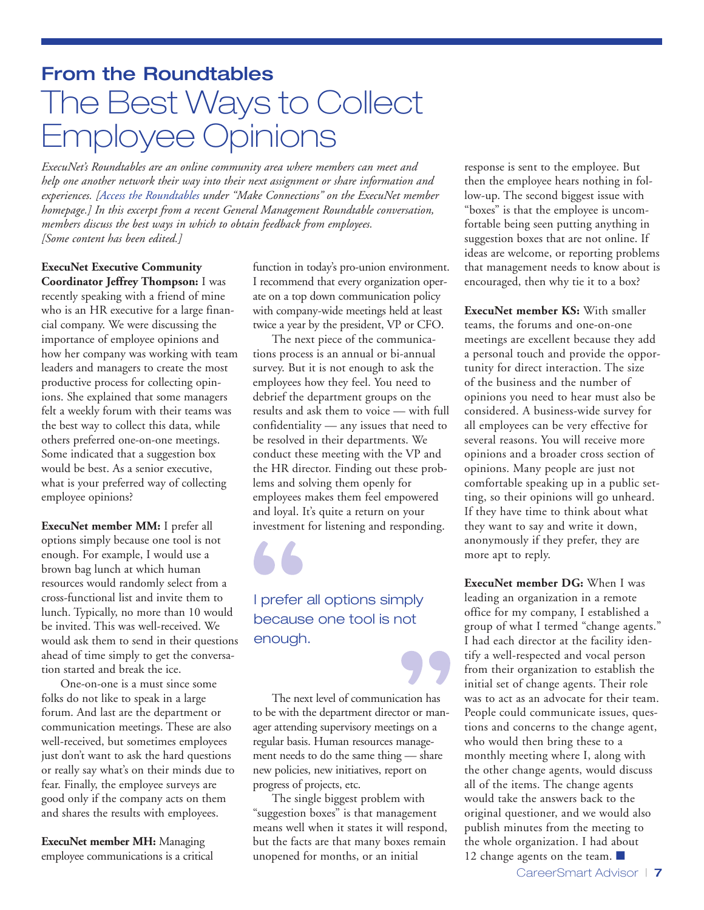# <span id="page-6-0"></span>**From the Roundtables** The Best Ways to Collect Employee Opinions

*ExecuNet's Roundtables are an online community area where members can meet and help one another network their way into their next assignment or share information and experiences. [Access the [Roundtables](http://members.execunet.com/fusetalk/forum/e_signet_prefs.cfm?preurl=e_home&ran_id=D3D62782-E1FD-17BC-29525F3FCE0DE900&WT.svl=mn) under "Make Connections" on the ExecuNet member homepage.] In this excerpt from a recent General Management Roundtable conversation, members discuss the best ways in which to obtain feedback from employees. [Some content has been edited.]*

**ExecuNet Executive Community Coordinator Jeffrey Thompson:** I was recently speaking with a friend of mine who is an HR executive for a large financial company. We were discussing the importance of employee opinions and how her company was working with team leaders and managers to create the most productive process for collecting opinions. She explained that some managers felt a weekly forum with their teams was the best way to collect this data, while others preferred one-on-one meetings. Some indicated that a suggestion box would be best. As a senior executive, what is your preferred way of collecting employee opinions?

**ExecuNet member MM:** I prefer all options simply because one tool is not enough. For example, I would use a brown bag lunch at which human resources would randomly select from a cross-functional list and invite them to lunch. Typically, no more than 10 would be invited. This was well-received. We would ask them to send in their questions ahead of time simply to get the conversation started and break the ice.

One-on-one is a must since some folks do not like to speak in a large forum. And last are the department or communication meetings. These are also well-received, but sometimes employees just don't want to ask the hard questions or really say what's on their minds due to fear. Finally, the employee surveys are good only if the company acts on them and shares the results with employees.

**ExecuNet member MH:** Managing employee communications is a critical

function in today's pro-union environment. I recommend that every organization operate on a top down communication policy with company-wide meetings held at least twice a year by the president, VP or CFO.

The next piece of the communications process is an annual or bi-annual survey. But it is not enough to ask the employees how they feel. You need to debrief the department groups on the results and ask them to voice — with full confidentiality — any issues that need to be resolved in their departments. We conduct these meeting with the VP and the HR director. Finding out these problems and solving them openly for employees makes them feel empowered and loyal. It's quite a return on your investment for listening and responding.

### I prefer all options simply because one tool is not enough.

The next level of communication has to be with the department director or manager attending supervisory meetings on a regular basis. Human resources management needs to do the same thing — share new policies, new initiatives, report on progress of projects, etc.

The single biggest problem with "suggestion boxes" is that management means well when it states it will respond, but the facts are that many boxes remain unopened for months, or an initial

response is sent to the employee. But then the employee hears nothing in follow-up. The second biggest issue with "boxes" is that the employee is uncomfortable being seen putting anything in suggestion boxes that are not online. If ideas are welcome, or reporting problems that management needs to know about is encouraged, then why tie it to a box?

**ExecuNet member KS:** With smaller teams, the forums and one-on-one meetings are excellent because they add a personal touch and provide the opportunity for direct interaction. The size of the business and the number of opinions you need to hear must also be considered. A business-wide survey for all employees can be very effective for several reasons. You will receive more opinions and a broader cross section of opinions. Many people are just not comfortable speaking up in a public setting, so their opinions will go unheard. If they have time to think about what they want to say and write it down, anonymously if they prefer, they are more apt to reply.

**ExecuNet member DG:** When I was leading an organization in a remote office for my company, I established a group of what I termed "change agents." I had each director at the facility identify a well-respected and vocal person from their organization to establish the initial set of change agents. Their role was to act as an advocate for their team. People could communicate issues, questions and concerns to the change agent, who would then bring these to a monthly meeting where I, along with the other change agents, would discuss all of the items. The change agents would take the answers back to the original questioner, and we would also publish minutes from the meeting to the whole organization. I had about 12 change agents on the team. ■